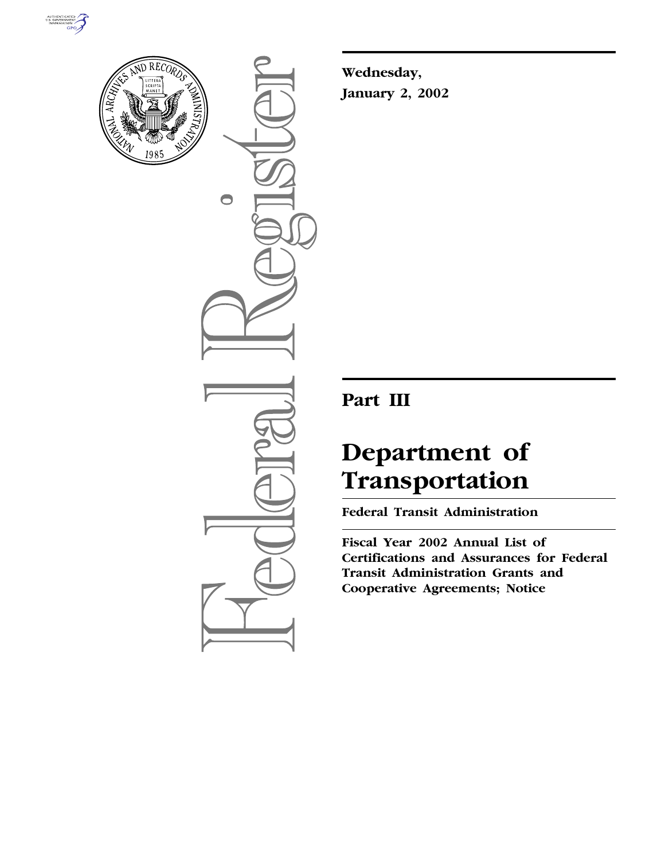



 $\bigcirc$ 

**Wednesday, January 2, 2002**

## **Part III**

# **Department of Transportation**

**Federal Transit Administration**

**Fiscal Year 2002 Annual List of Certifications and Assurances for Federal Transit Administration Grants and Cooperative Agreements; Notice**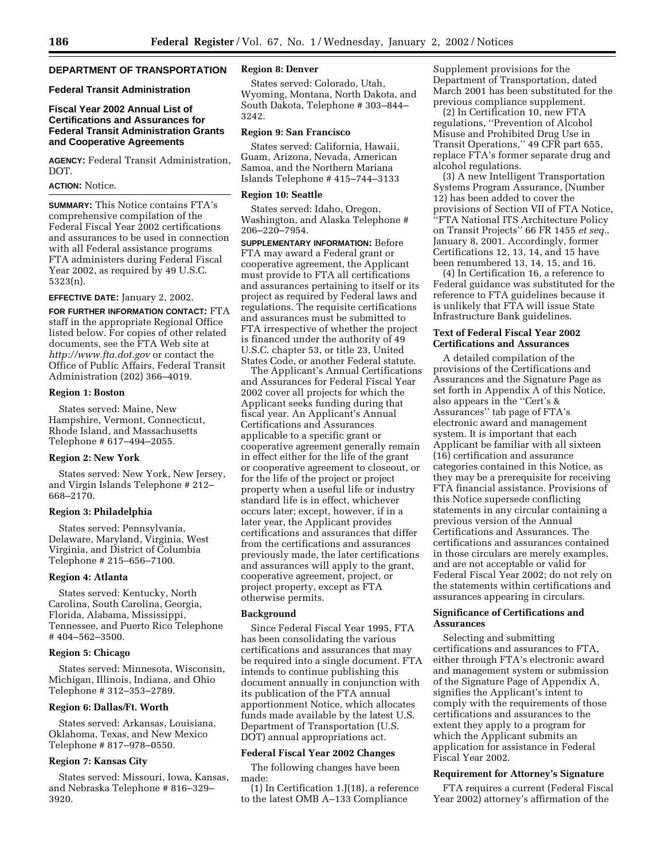#### **DEPARTMENT OF TRANSPORTATION**

#### **Federal Transit Administration**

#### **Fiscal Year 2002 Annual List of Certifications and Assurances for Federal Transit Administration Grants and Cooperative Agreements**

**AGENCY:** Federal Transit Administration, DOT.

#### **ACTION:** Notice.

**SUMMARY:** This Notice contains FTA's comprehensive compilation of the Federal Fiscal Year 2002 certifications and assurances to be used in connection with all Federal assistance programs FTA administers during Federal Fiscal Year 2002, as required by 49 U.S.C. 5323(n).

#### **EFFECTIVE DATE:** January 2, 2002.

**FOR FURTHER INFORMATION CONTACT:** FTA staff in the appropriate Regional Office listed below. For copies of other related documents, see the FTA Web site at *http://www.fta.dot.gov* or contact the Office of Public Affairs, Federal Transit Administration (202) 366–4019.

#### **Region 1: Boston**

States served: Maine, New Hampshire, Vermont, Connecticut, Rhode Island, and Massachusetts Telephone # 617–494–2055.

#### **Region 2: New York**

States served: New York, New Jersey, and Virgin Islands Telephone # 212– 668–2170.

#### **Region 3: Philadelphia**

States served: Pennsylvania, Delaware, Maryland, Virginia, West Virginia, and District of Columbia Telephone # 215–656–7100.

#### **Region 4: Atlanta**

States served: Kentucky, North Carolina, South Carolina, Georgia, Florida, Alabama, Mississippi, Tennessee, and Puerto Rico Telephone # 404–562–3500.

#### **Region 5: Chicago**

States served: Minnesota, Wisconsin, Michigan, Illinois, Indiana, and Ohio Telephone # 312–353–2789.

#### **Region 6: Dallas/Ft. Worth**

States served: Arkansas, Louisiana, Oklahoma, Texas, and New Mexico Telephone # 817–978–0550.

#### **Region 7: Kansas City**

States served: Missouri, Iowa, Kansas, and Nebraska Telephone # 816–329– 3920.

#### **Region 8: Denver**

States served: Colorado, Utah, Wyoming, Montana, North Dakota, and South Dakota, Telephone # 303–844– 3242.

#### **Region 9: San Francisco**

States served: California, Hawaii, Guam, Arizona, Nevada, American Samoa, and the Northern Mariana Islands Telephone # 415–744–3133

#### **Region 10: Seattle**

States served: Idaho, Oregon, Washington, and Alaska Telephone # 206–220–7954.

**SUPPLEMENTARY INFORMATION:** Before FTA may award a Federal grant or cooperative agreement, the Applicant must provide to FTA all certifications and assurances pertaining to itself or its project as required by Federal laws and regulations. The requisite certifications and assurances must be submitted to FTA irrespective of whether the project is financed under the authority of 49 U.S.C. chapter 53, or title 23, United States Code, or another Federal statute.

The Applicant's Annual Certifications and Assurances for Federal Fiscal Year 2002 cover all projects for which the Applicant seeks funding during that fiscal year. An Applicant's Annual Certifications and Assurances applicable to a specific grant or cooperative agreement generally remain in effect either for the life of the grant or cooperative agreement to closeout, or for the life of the project or project property when a useful life or industry standard life is in effect, whichever occurs later; except, however, if in a later year, the Applicant provides certifications and assurances that differ from the certifications and assurances previously made, the later certifications and assurances will apply to the grant, cooperative agreement, project, or project property, except as FTA otherwise permits.

#### **Background**

Since Federal Fiscal Year 1995, FTA has been consolidating the various certifications and assurances that may be required into a single document. FTA intends to continue publishing this document annually in conjunction with its publication of the FTA annual apportionment Notice, which allocates funds made available by the latest U.S. Department of Transportation (U.S. DOT) annual appropriations act.

#### **Federal Fiscal Year 2002 Changes**

The following changes have been made:

(1) In Certification 1.J(18), a reference to the latest OMB A–133 Compliance

Supplement provisions for the Department of Transportation, dated March 2001 has been substituted for the previous compliance supplement.

(2) In Certification 10, new FTA regulations, ''Prevention of Alcohol Misuse and Prohibited Drug Use in Transit Operations,'' 49 CFR part 655, replace FTA's former separate drug and alcohol regulations.

(3) A new Intelligent Transportation Systems Program Assurance, (Number 12) has been added to cover the provisions of Section VII of FTA Notice, ''FTA National ITS Architecture Policy on Transit Projects'' 66 FR 1455 *et seq.*, January 8, 2001. Accordingly, former Certifications 12, 13, 14, and 15 have been renumbered 13, 14, 15, and 16.

(4) In Certification 16, a reference to Federal guidance was substituted for the reference to FTA guidelines because it is unlikely that FTA will issue State Infrastructure Bank guidelines.

#### **Text of Federal Fiscal Year 2002 Certifications and Assurances**

A detailed compilation of the provisions of the Certifications and Assurances and the Signature Page as set forth in Appendix A of this Notice, also appears in the ''Cert's & Assurances'' tab page of FTA's electronic award and management system. It is important that each Applicant be familiar with all sixteen (16) certification and assurance categories contained in this Notice, as they may be a prerequisite for receiving FTA financial assistance. Provisions of this Notice supersede conflicting statements in any circular containing a previous version of the Annual Certifications and Assurances. The certifications and assurances contained in those circulars are merely examples, and are not acceptable or valid for Federal Fiscal Year 2002; do not rely on the statements within certifications and assurances appearing in circulars.

#### **Significance of Certifications and Assurances**

Selecting and submitting certifications and assurances to FTA, either through FTA's electronic award and management system or submission of the Signature Page of Appendix A, signifies the Applicant's intent to comply with the requirements of those certifications and assurances to the extent they apply to a program for which the Applicant submits an application for assistance in Federal Fiscal Year 2002.

#### **Requirement for Attorney's Signature**

FTA requires a current (Federal Fiscal Year 2002) attorney's affirmation of the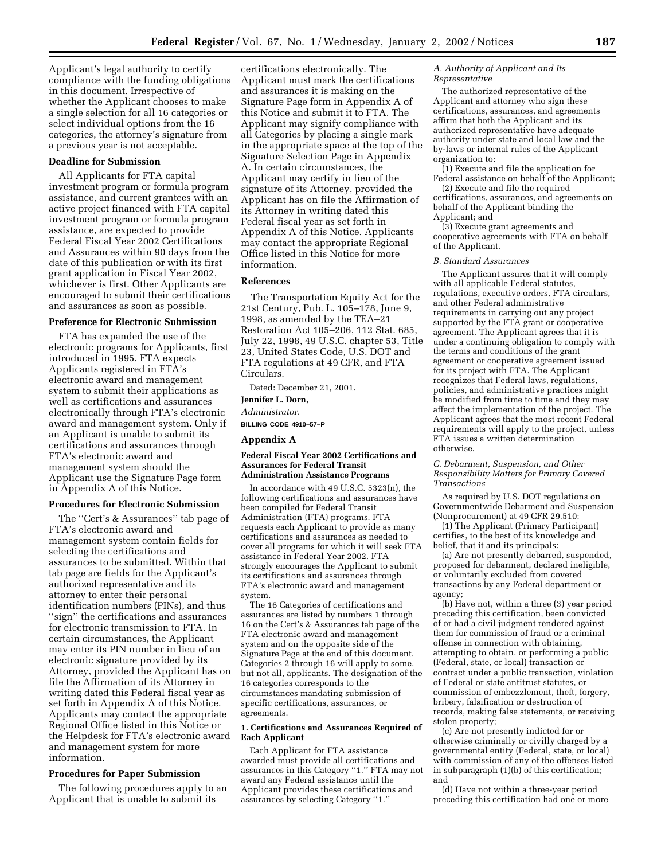Applicant's legal authority to certify compliance with the funding obligations in this document. Irrespective of whether the Applicant chooses to make a single selection for all 16 categories or select individual options from the 16 categories, the attorney's signature from a previous year is not acceptable.

#### **Deadline for Submission**

All Applicants for FTA capital investment program or formula program assistance, and current grantees with an active project financed with FTA capital investment program or formula program assistance, are expected to provide Federal Fiscal Year 2002 Certifications and Assurances within 90 days from the date of this publication or with its first grant application in Fiscal Year 2002, whichever is first. Other Applicants are encouraged to submit their certifications and assurances as soon as possible.

#### **Preference for Electronic Submission**

FTA has expanded the use of the electronic programs for Applicants, first introduced in 1995. FTA expects Applicants registered in FTA's electronic award and management system to submit their applications as well as certifications and assurances electronically through FTA's electronic award and management system. Only if an Applicant is unable to submit its certifications and assurances through FTA's electronic award and management system should the Applicant use the Signature Page form in Appendix A of this Notice.

#### **Procedures for Electronic Submission**

The ''Cert's & Assurances'' tab page of FTA's electronic award and management system contain fields for selecting the certifications and assurances to be submitted. Within that tab page are fields for the Applicant's authorized representative and its attorney to enter their personal identification numbers (PINs), and thus ''sign'' the certifications and assurances for electronic transmission to FTA. In certain circumstances, the Applicant may enter its PIN number in lieu of an electronic signature provided by its Attorney, provided the Applicant has on file the Affirmation of its Attorney in writing dated this Federal fiscal year as set forth in Appendix A of this Notice. Applicants may contact the appropriate Regional Office listed in this Notice or the Helpdesk for FTA's electronic award and management system for more information.

#### **Procedures for Paper Submission**

The following procedures apply to an Applicant that is unable to submit its

certifications electronically. The Applicant must mark the certifications and assurances it is making on the Signature Page form in Appendix A of this Notice and submit it to FTA. The Applicant may signify compliance with all Categories by placing a single mark in the appropriate space at the top of the Signature Selection Page in Appendix A. In certain circumstances, the Applicant may certify in lieu of the signature of its Attorney, provided the Applicant has on file the Affirmation of its Attorney in writing dated this Federal fiscal year as set forth in Appendix A of this Notice. Applicants may contact the appropriate Regional Office listed in this Notice for more information.

#### **References**

The Transportation Equity Act for the 21st Century, Pub. L. 105–178, June 9, 1998, as amended by the TEA–21 Restoration Act 105–206, 112 Stat. 685, July 22, 1998, 49 U.S.C. chapter 53, Title 23, United States Code, U.S. DOT and FTA regulations at 49 CFR, and FTA Circulars.

Dated: December 21, 2001.

#### **Jennifer L. Dorn,**

*Administrator.*

**BILLING CODE 4910–57–P**

#### **Appendix A**

#### **Federal Fiscal Year 2002 Certifications and Assurances for Federal Transit Administration Assistance Programs**

In accordance with 49 U.S.C. 5323(n), the following certifications and assurances have been compiled for Federal Transit Administration (FTA) programs. FTA requests each Applicant to provide as many certifications and assurances as needed to cover all programs for which it will seek FTA assistance in Federal Year 2002. FTA strongly encourages the Applicant to submit its certifications and assurances through FTA's electronic award and management system.

The 16 Categories of certifications and assurances are listed by numbers 1 through 16 on the Cert's & Assurances tab page of the FTA electronic award and management system and on the opposite side of the Signature Page at the end of this document. Categories 2 through 16 will apply to some, but not all, applicants. The designation of the 16 categories corresponds to the circumstances mandating submission of specific certifications, assurances, or agreements.

#### **1. Certifications and Assurances Required of Each Applicant**

Each Applicant for FTA assistance awarded must provide all certifications and assurances in this Category ''1.'' FTA may not award any Federal assistance until the Applicant provides these certifications and assurances by selecting Category ''1.''

#### *A. Authority of Applicant and Its Representative*

The authorized representative of the Applicant and attorney who sign these certifications, assurances, and agreements affirm that both the Applicant and its authorized representative have adequate authority under state and local law and the by-laws or internal rules of the Applicant organization to:

(1) Execute and file the application for Federal assistance on behalf of the Applicant;

(2) Execute and file the required certifications, assurances, and agreements on behalf of the Applicant binding the Applicant; and

(3) Execute grant agreements and cooperative agreements with FTA on behalf of the Applicant.

#### *B. Standard Assurances*

The Applicant assures that it will comply with all applicable Federal statutes, regulations, executive orders, FTA circulars, and other Federal administrative requirements in carrying out any project supported by the FTA grant or cooperative agreement. The Applicant agrees that it is under a continuing obligation to comply with the terms and conditions of the grant agreement or cooperative agreement issued for its project with FTA. The Applicant recognizes that Federal laws, regulations, policies, and administrative practices might be modified from time to time and they may affect the implementation of the project. The Applicant agrees that the most recent Federal requirements will apply to the project, unless FTA issues a written determination otherwise.

*C. Debarment, Suspension, and Other Responsibility Matters for Primary Covered Transactions*

As required by U.S. DOT regulations on Governmentwide Debarment and Suspension (Nonprocurement) at 49 CFR 29.510:

(1) The Applicant (Primary Participant) certifies, to the best of its knowledge and belief, that it and its principals:

(a) Are not presently debarred, suspended, proposed for debarment, declared ineligible, or voluntarily excluded from covered transactions by any Federal department or agency;

(b) Have not, within a three (3) year period preceding this certification, been convicted of or had a civil judgment rendered against them for commission of fraud or a criminal offense in connection with obtaining, attempting to obtain, or performing a public (Federal, state, or local) transaction or contract under a public transaction, violation of Federal or state antitrust statutes, or commission of embezzlement, theft, forgery, bribery, falsification or destruction of records, making false statements, or receiving stolen property;

(c) Are not presently indicted for or otherwise criminally or civilly charged by a governmental entity (Federal, state, or local) with commission of any of the offenses listed in subparagraph (1)(b) of this certification; and

(d) Have not within a three-year period preceding this certification had one or more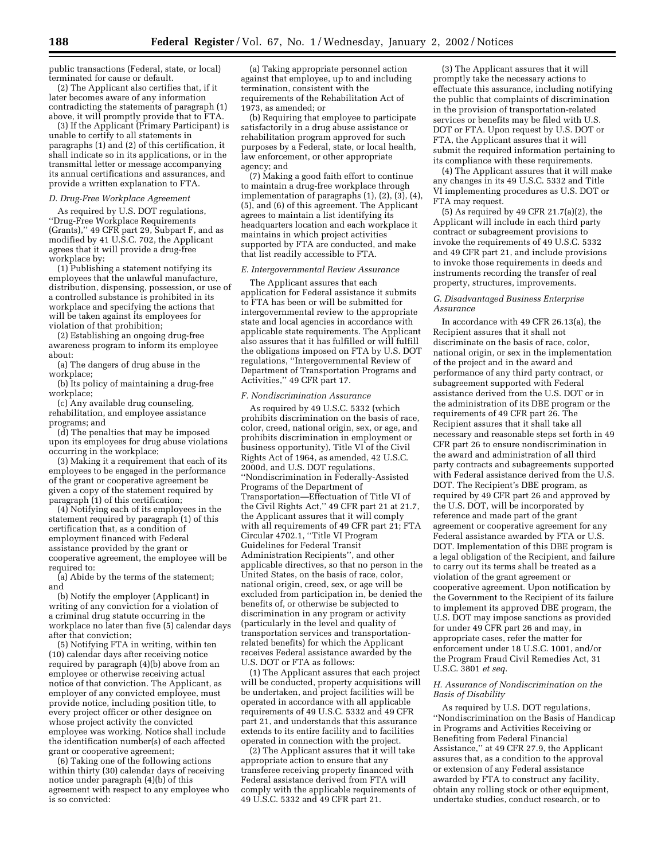public transactions (Federal, state, or local) terminated for cause or default.

(2) The Applicant also certifies that, if it later becomes aware of any information contradicting the statements of paragraph (1) above, it will promptly provide that to FTA.

(3) If the Applicant (Primary Participant) is unable to certify to all statements in paragraphs (1) and (2) of this certification, it shall indicate so in its applications, or in the transmittal letter or message accompanying its annual certifications and assurances, and provide a written explanation to FTA.

#### *D. Drug-Free Workplace Agreement*

As required by U.S. DOT regulations, ''Drug-Free Workplace Requirements (Grants),'' 49 CFR part 29, Subpart F, and as modified by 41 U.S.C. 702, the Applicant agrees that it will provide a drug-free workplace by:

(1) Publishing a statement notifying its employees that the unlawful manufacture, distribution, dispensing, possession, or use of a controlled substance is prohibited in its workplace and specifying the actions that will be taken against its employees for violation of that prohibition;

(2) Establishing an ongoing drug-free awareness program to inform its employee about:

(a) The dangers of drug abuse in the workplace;

(b) Its policy of maintaining a drug-free workplace;

(c) Any available drug counseling, rehabilitation, and employee assistance programs; and

(d) The penalties that may be imposed upon its employees for drug abuse violations occurring in the workplace;

(3) Making it a requirement that each of its employees to be engaged in the performance of the grant or cooperative agreement be given a copy of the statement required by paragraph (1) of this certification;

(4) Notifying each of its employees in the statement required by paragraph (1) of this certification that, as a condition of employment financed with Federal assistance provided by the grant or cooperative agreement, the employee will be required to:

(a) Abide by the terms of the statement; and

(b) Notify the employer (Applicant) in writing of any conviction for a violation of a criminal drug statute occurring in the workplace no later than five (5) calendar days after that conviction;

(5) Notifying FTA in writing, within ten (10) calendar days after receiving notice required by paragraph (4)(b) above from an employee or otherwise receiving actual notice of that conviction. The Applicant, as employer of any convicted employee, must provide notice, including position title, to every project officer or other designee on whose project activity the convicted employee was working. Notice shall include the identification number(s) of each affected grant or cooperative agreement;

(6) Taking one of the following actions within thirty (30) calendar days of receiving notice under paragraph (4)(b) of this agreement with respect to any employee who is so convicted:

(a) Taking appropriate personnel action against that employee, up to and including termination, consistent with the requirements of the Rehabilitation Act of 1973, as amended; or

(b) Requiring that employee to participate satisfactorily in a drug abuse assistance or rehabilitation program approved for such purposes by a Federal, state, or local health, law enforcement, or other appropriate agency; and

(7) Making a good faith effort to continue to maintain a drug-free workplace through implementation of paragraphs (1), (2), (3), (4), (5), and (6) of this agreement. The Applicant agrees to maintain a list identifying its headquarters location and each workplace it maintains in which project activities supported by FTA are conducted, and make that list readily accessible to FTA.

#### *E. Intergovernmental Review Assurance*

The Applicant assures that each application for Federal assistance it submits to FTA has been or will be submitted for intergovernmental review to the appropriate state and local agencies in accordance with applicable state requirements. The Applicant also assures that it has fulfilled or will fulfill the obligations imposed on FTA by U.S. DOT regulations, ''Intergovernmental Review of Department of Transportation Programs and Activities,'' 49 CFR part 17.

#### *F. Nondiscrimination Assurance*

As required by 49 U.S.C. 5332 (which prohibits discrimination on the basis of race, color, creed, national origin, sex, or age, and prohibits discrimination in employment or business opportunity), Title VI of the Civil Rights Act of 1964, as amended, 42 U.S.C. 2000d, and U.S. DOT regulations, ''Nondiscrimination in Federally-Assisted Programs of the Department of Transportation—Effectuation of Title VI of the Civil Rights Act,'' 49 CFR part 21 at 21.7, the Applicant assures that it will comply with all requirements of 49 CFR part 21; FTA Circular 4702.1, ''Title VI Program Guidelines for Federal Transit Administration Recipients'', and other applicable directives, so that no person in the United States, on the basis of race, color, national origin, creed, sex, or age will be excluded from participation in, be denied the benefits of, or otherwise be subjected to discrimination in any program or activity (particularly in the level and quality of transportation services and transportationrelated benefits) for which the Applicant receives Federal assistance awarded by the U.S. DOT or FTA as follows:

(1) The Applicant assures that each project will be conducted, property acquisitions will be undertaken, and project facilities will be operated in accordance with all applicable requirements of 49 U.S.C. 5332 and 49 CFR part 21, and understands that this assurance extends to its entire facility and to facilities operated in connection with the project.

(2) The Applicant assures that it will take appropriate action to ensure that any transferee receiving property financed with Federal assistance derived from FTA will comply with the applicable requirements of 49 U.S.C. 5332 and 49 CFR part 21.

(3) The Applicant assures that it will promptly take the necessary actions to effectuate this assurance, including notifying the public that complaints of discrimination in the provision of transportation-related services or benefits may be filed with U.S. DOT or FTA. Upon request by U.S. DOT or FTA, the Applicant assures that it will submit the required information pertaining to its compliance with these requirements.

(4) The Applicant assures that it will make any changes in its 49 U.S.C. 5332 and Title VI implementing procedures as U.S. DOT or FTA may request.

(5) As required by 49 CFR 21.7(a)(2), the Applicant will include in each third party contract or subagreement provisions to invoke the requirements of 49 U.S.C. 5332 and 49 CFR part 21, and include provisions to invoke those requirements in deeds and instruments recording the transfer of real property, structures, improvements.

#### *G. Disadvantaged Business Enterprise Assurance*

In accordance with 49 CFR 26.13(a), the Recipient assures that it shall not discriminate on the basis of race, color, national origin, or sex in the implementation of the project and in the award and performance of any third party contract, or subagreement supported with Federal assistance derived from the U.S. DOT or in the administration of its DBE program or the requirements of 49 CFR part 26. The Recipient assures that it shall take all necessary and reasonable steps set forth in 49 CFR part 26 to ensure nondiscrimination in the award and administration of all third party contracts and subagreements supported with Federal assistance derived from the U.S. DOT. The Recipient's DBE program, as required by 49 CFR part 26 and approved by the U.S. DOT, will be incorporated by reference and made part of the grant agreement or cooperative agreement for any Federal assistance awarded by FTA or U.S. DOT. Implementation of this DBE program is a legal obligation of the Recipient, and failure to carry out its terms shall be treated as a violation of the grant agreement or cooperative agreement. Upon notification by the Government to the Recipient of its failure to implement its approved DBE program, the U.S. DOT may impose sanctions as provided for under 49 CFR part 26 and may, in appropriate cases, refer the matter for enforcement under 18 U.S.C. 1001, and/or the Program Fraud Civil Remedies Act, 31 U.S.C. 3801 *et seq.*

#### *H. Assurance of Nondiscrimination on the Basis of Disability*

As required by U.S. DOT regulations, ''Nondiscrimination on the Basis of Handicap in Programs and Activities Receiving or Benefiting from Federal Financial Assistance,'' at 49 CFR 27.9, the Applicant assures that, as a condition to the approval or extension of any Federal assistance awarded by FTA to construct any facility, obtain any rolling stock or other equipment, undertake studies, conduct research, or to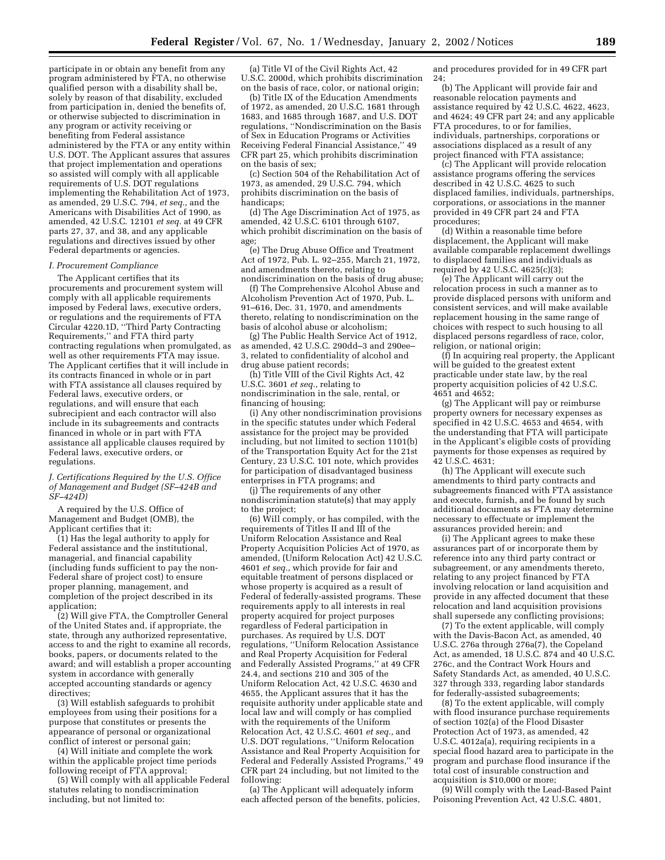participate in or obtain any benefit from any program administered by FTA, no otherwise qualified person with a disability shall be, solely by reason of that disability, excluded from participation in, denied the benefits of, or otherwise subjected to discrimination in any program or activity receiving or benefiting from Federal assistance administered by the FTA or any entity within U.S. DOT. The Applicant assures that assures that project implementation and operations so assisted will comply with all applicable requirements of U.S. DOT regulations implementing the Rehabilitation Act of 1973, as amended, 29 U.S.C. 794, *et seq.,* and the Americans with Disabilities Act of 1990, as amended, 42 U.S.C. 12101 *et seq.* at 49 CFR parts 27, 37, and 38, and any applicable regulations and directives issued by other Federal departments or agencies.

#### *I. Procurement Compliance*

The Applicant certifies that its procurements and procurement system will comply with all applicable requirements imposed by Federal laws, executive orders, or regulations and the requirements of FTA Circular 4220.1D, ''Third Party Contracting Requirements,'' and FTA third party contracting regulations when promulgated, as well as other requirements FTA may issue. The Applicant certifies that it will include in its contracts financed in whole or in part with FTA assistance all clauses required by Federal laws, executive orders, or regulations, and will ensure that each subrecipient and each contractor will also include in its subagreements and contracts financed in whole or in part with FTA assistance all applicable clauses required by Federal laws, executive orders, or regulations.

*J. Certifications Required by the U.S. Office of Management and Budget (SF–424B and SF–424D)*

A required by the U.S. Office of Management and Budget (OMB), the Applicant certifies that it:

(1) Has the legal authority to apply for Federal assistance and the institutional, managerial, and financial capability (including funds sufficient to pay the non-Federal share of project cost) to ensure proper planning, management, and completion of the project described in its application;

(2) Will give FTA, the Comptroller General of the United States and, if appropriate, the state, through any authorized representative, access to and the right to examine all records, books, papers, or documents related to the award; and will establish a proper accounting system in accordance with generally accepted accounting standards or agency directives;

(3) Will establish safeguards to prohibit employees from using their positions for a purpose that constitutes or presents the appearance of personal or organizational conflict of interest or personal gain;

(4) Will initiate and complete the work within the applicable project time periods following receipt of FTA approval;

(5) Will comply with all applicable Federal statutes relating to nondiscrimination including, but not limited to:

(a) Title VI of the Civil Rights Act, 42 U.S.C. 2000d, which prohibits discrimination on the basis of race, color, or national origin;

(b) Title IX of the Education Amendments of 1972, as amended, 20 U.S.C. 1681 through 1683, and 1685 through 1687, and U.S. DOT regulations, ''Nondiscrimination on the Basis of Sex in Education Programs or Activities Receiving Federal Financial Assistance,'' 49 CFR part 25, which prohibits discrimination on the basis of sex;

(c) Section 504 of the Rehabilitation Act of 1973, as amended, 29 U.S.C. 794, which prohibits discrimination on the basis of handicaps;

(d) The Age Discrimination Act of 1975, as amended, 42 U.S.C. 6101 through 6107, which prohibit discrimination on the basis of age;

(e) The Drug Abuse Office and Treatment Act of 1972, Pub. L. 92–255, March 21, 1972, and amendments thereto, relating to nondiscrimination on the basis of drug abuse;

(f) The Comprehensive Alcohol Abuse and Alcoholism Prevention Act of 1970, Pub. L. 91–616, Dec. 31, 1970, and amendments thereto, relating to nondiscrimination on the basis of alcohol abuse or alcoholism;

(g) The Public Health Service Act of 1912, as amended, 42 U.S.C. 290dd–3 and 290ee– 3, related to confidentiality of alcohol and drug abuse patient records;

(h) Title VIII of the Civil Rights Act, 42 U.S.C. 3601 *et seq.*, relating to nondiscrimination in the sale, rental, or financing of housing;

(i) Any other nondiscrimination provisions in the specific statutes under which Federal assistance for the project may be provided including, but not limited to section 1101(b) of the Transportation Equity Act for the 21st Century, 23 U.S.C. 101 note, which provides for participation of disadvantaged business enterprises in FTA programs; and

(j) The requirements of any other nondiscrimination statute(s) that may apply to the project;

(6) Will comply, or has compiled, with the requirements of Titles II and III of the Uniform Relocation Assistance and Real Property Acquisition Policies Act of 1970, as amended, (Uniform Relocation Act) 42 U.S.C. 4601 *et seq.*, which provide for fair and equitable treatment of persons displaced or whose property is acquired as a result of Federal of federally-assisted programs. These requirements apply to all interests in real property acquired for project purposes regardless of Federal participation in purchases. As required by U.S. DOT regulations, ''Uniform Relocation Assistance and Real Property Acquisition for Federal and Federally Assisted Programs,'' at 49 CFR 24.4, and sections 210 and 305 of the Uniform Relocation Act, 42 U.S.C. 4630 and 4655, the Applicant assures that it has the requisite authority under applicable state and local law and will comply or has complied with the requirements of the Uniform Relocation Act, 42 U.S.C. 4601 *et seq.,* and U.S. DOT regulations, ''Uniform Relocation Assistance and Real Property Acquisition for Federal and Federally Assisted Programs,'' 49 CFR part 24 including, but not limited to the following:

(a) The Applicant will adequately inform each affected person of the benefits, policies,

and procedures provided for in 49 CFR part 24;

(b) The Applicant will provide fair and reasonable relocation payments and assistance required by 42 U.S.C. 4622, 4623, and 4624; 49 CFR part 24; and any applicable FTA procedures, to or for families, individuals, partnerships, corporations or associations displaced as a result of any project financed with FTA assistance;

(c) The Applicant will provide relocation assistance programs offering the services described in 42 U.S.C. 4625 to such displaced families, individuals, partnerships, corporations, or associations in the manner provided in 49 CFR part 24 and FTA procedures;

(d) Within a reasonable time before displacement, the Applicant will make available comparable replacement dwellings to displaced families and individuals as required by 42 U.S.C. 4625(c)(3);

(e) The Applicant will carry out the relocation process in such a manner as to provide displaced persons with uniform and consistent services, and will make available replacement housing in the same range of choices with respect to such housing to all displaced persons regardless of race, color, religion, or national origin;

(f) In acquiring real property, the Applicant will be guided to the greatest extent practicable under state law, by the real property acquisition policies of 42 U.S.C. 4651 and 4652;

(g) The Applicant will pay or reimburse property owners for necessary expenses as specified in 42 U.S.C. 4653 and 4654, with the understanding that FTA will participate in the Applicant's eligible costs of providing payments for those expenses as required by 42 U.S.C. 4631;

(h) The Applicant will execute such amendments to third party contracts and subagreements financed with FTA assistance and execute, furnish, and be found by such additional documents as FTA may determine necessary to effectuate or implement the assurances provided herein; and

(i) The Applicant agrees to make these assurances part of or incorporate them by reference into any third party contract or subagreement, or any amendments thereto, relating to any project financed by FTA involving relocation or land acquisition and provide in any affected document that these relocation and land acquisition provisions shall supersede any conflicting provisions;

(7) To the extent applicable, will comply with the Davis-Bacon Act, as amended, 40 U.S.C. 276a through 276a(7), the Copeland Act, as amended, 18 U.S.C. 874 and 40 U.S.C. 276c, and the Contract Work Hours and Safety Standards Act, as amended, 40 U.S.C. 327 through 333, regarding labor standards for federally-assisted subagreements;

(8) To the extent applicable, will comply with flood insurance purchase requirements of section 102(a) of the Flood Disaster Protection Act of 1973, as amended, 42 U.S.C. 4012a(a), requiring recipients in a special flood hazard area to participate in the program and purchase flood insurance if the total cost of insurable construction and acquisition is \$10,000 or more;

(9) Will comply with the Lead-Based Paint Poisoning Prevention Act, 42 U.S.C. 4801,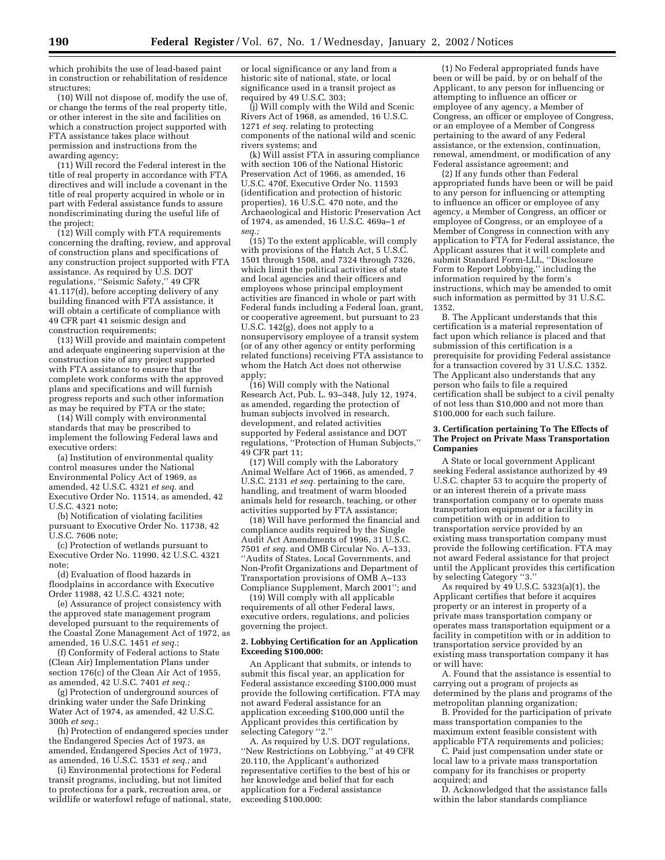which prohibits the use of lead-based paint in construction or rehabilitation of residence structures;

(10) Will not dispose of, modify the use of, or change the terms of the real property title, or other interest in the site and facilities on which a construction project supported with FTA assistance takes place without permission and instructions from the awarding agency;

(11) Will record the Federal interest in the title of real property in accordance with FTA directives and will include a covenant in the title of real property acquired in whole or in part with Federal assistance funds to assure nondiscriminating during the useful life of the project;

(12) Will comply with FTA requirements concerning the drafting, review, and approval of construction plans and specifications of any construction project supported with FTA assistance. As required by U.S. DOT regulations, ''Seismic Safety,'' 49 CFR 41.117(d), before accepting delivery of any building financed with FTA assistance, it will obtain a certificate of compliance with 49 CFR part 41 seismic design and construction requirements;

(13) Will provide and maintain competent and adequate engineering supervision at the construction site of any project supported with FTA assistance to ensure that the complete work conforms with the approved plans and specifications and will furnish progress reports and such other information as may be required by FTA or the state;

(14) Will comply with environmental standards that may be prescribed to implement the following Federal laws and executive orders:

(a) Institution of environmental quality control measures under the National Environmental Policy Act of 1969, as amended, 42 U.S.C. 4321 *et seq.* and Executive Order No. 11514, as amended, 42 U.S.C. 4321 note;

(b) Notification of violating facilities pursuant to Executive Order No. 11738, 42 U.S.C. 7606 note;

(c) Protection of wetlands pursuant to Executive Order No. 11990, 42 U.S.C. 4321 note;

(d) Evaluation of flood hazards in floodplains in accordance with Executive Order 11988, 42 U.S.C. 4321 note;

(e) Assurance of project consistency with the approved state management program developed pursuant to the requirements of the Coastal Zone Management Act of 1972, as amended, 16 U.S.C. 1451 *et seq.*;

(f) Conformity of Federal actions to State (Clean Air) Implementation Plans under section 176(c) of the Clean Air Act of 1955, as amended, 42 U.S.C. 7401 *et seq.;*

(g) Protection of underground sources of drinking water under the Safe Drinking Water Act of 1974, as amended, 42 U.S.C. 300h *et seq.*;

(h) Protection of endangered species under the Endangered Species Act of 1973, as amended, Endangered Species Act of 1973, as amended, 16 U.S.C. 1531 *et seq.;* and

(i) Environmental protections for Federal transit programs, including, but not limited to protections for a park, recreation area, or wildlife or waterfowl refuge of national, state,

or local significance or any land from a historic site of national, state, or local significance used in a transit project as required by 49 U.S.C. 303;

(j) Will comply with the Wild and Scenic Rivers Act of 1968, as amended, 16 U.S.C. 1271 *et seq.* relating to protecting components of the national wild and scenic rivers systems; and

(k) Will assist FTA in assuring compliance with section 106 of the National Historic Preservation Act of 1966, as amended, 16 U.S.C. 470f, Executive Order No. 11593 (identification and protection of historic properties), 16 U.S.C. 470 note, and the Archaeological and Historic Preservation Act of 1974, as amended, 16 U.S.C. 469a–1 *et seq.;*

(15) To the extent applicable, will comply with provisions of the Hatch Act, 5 U.S.C. 1501 through 1508, and 7324 through 7326, which limit the political activities of state and local agencies and their officers and employees whose principal employment activities are financed in whole or part with Federal funds including a Federal loan, grant, or cooperative agreement, but pursuant to 23 U.S.C. 142(g), does not apply to a nonsupervisory employee of a transit system (or of any other agency or entity performing related functions) receiving FTA assistance to whom the Hatch Act does not otherwise apply;

(16) Will comply with the National Research Act, Pub. L. 93–348, July 12, 1974, as amended, regarding the protection of human subjects involved in research, development, and related activities supported by Federal assistance and DOT regulations, ''Protection of Human Subjects,'' 49 CFR part 11;

(17) Will comply with the Laboratory Animal Welfare Act of 1966, as amended, 7 U.S.C. 2131 *et seq.* pertaining to the care, handling, and treatment of warm blooded animals held for research, teaching, or other activities supported by FTA assistance;

(18) Will have performed the financial and compliance audits required by the Single Audit Act Amendments of 1996, 31 U.S.C. 7501 *et seq.* and OMB Circular No. A–133, ''Audits of States, Local Governments, and Non-Profit Organizations and Department of Transportation provisions of OMB A–133 Compliance Supplement, March 2001''; and

(19) Will comply with all applicable requirements of all other Federal laws, executive orders, regulations, and policies governing the project.

#### **2. Lobbying Certification for an Application Exceeding \$100,000:**

An Applicant that submits, or intends to submit this fiscal year, an application for Federal assistance exceeding \$100,000 must provide the following certification. FTA may not award Federal assistance for an application exceeding \$100,000 until the Applicant provides this certification by selecting Category ''2.''

A. As required by U.S. DOT regulations, ''New Restrictions on Lobbying,'' at 49 CFR 20.110, the Applicant's authorized representative certifies to the best of his or her knowledge and belief that for each application for a Federal assistance exceeding \$100,000:

(1) No Federal appropriated funds have been or will be paid, by or on behalf of the Applicant, to any person for influencing or attempting to influence an officer or employee of any agency, a Member of Congress, an officer or employee of Congress, or an employee of a Member of Congress pertaining to the award of any Federal assistance, or the extension, continuation, renewal, amendment, or modification of any Federal assistance agreement; and

(2) If any funds other than Federal appropriated funds have been or will be paid to any person for influencing or attempting to influence an officer or employee of any agency, a Member of Congress, an officer or employee of Congress, or an employee of a Member of Congress in connection with any application to FTA for Federal assistance, the Applicant assures that it will complete and submit Standard Form-LLL, ''Disclosure Form to Report Lobbying,'' including the information required by the form's instructions, which may be amended to omit such information as permitted by 31 U.S.C. 1352.

B. The Applicant understands that this certification is a material representation of fact upon which reliance is placed and that submission of this certification is a prerequisite for providing Federal assistance for a transaction covered by 31 U.S.C. 1352. The Applicant also understands that any person who fails to file a required certification shall be subject to a civil penalty of not less than \$10,000 and not more than \$100,000 for each such failure.

#### **3. Certification pertaining To The Effects of The Project on Private Mass Transportation Companies**

A State or local government Applicant seeking Federal assistance authorized by 49 U.S.C. chapter 53 to acquire the property of or an interest therein of a private mass transportation company or to operate mass transportation equipment or a facility in competition with or in addition to transportation service provided by an existing mass transportation company must provide the following certification. FTA may not award Federal assistance for that project until the Applicant provides this certification by selecting Category ''3.''

As required by 49 U.S.C. 5323(a)(1), the Applicant certifies that before it acquires property or an interest in property of a private mass transportation company or operates mass transportation equipment or a facility in competition with or in addition to transportation service provided by an existing mass transportation company it has or will have:

A. Found that the assistance is essential to carrying out a program of projects as determined by the plans and programs of the metropolitan planning organization;

B. Provided for the participation of private mass transportation companies to the maximum extent feasible consistent with applicable FTA requirements and policies;

C. Paid just compensation under state or local law to a private mass transportation company for its franchises or property acquired; and

D. Acknowledged that the assistance falls within the labor standards compliance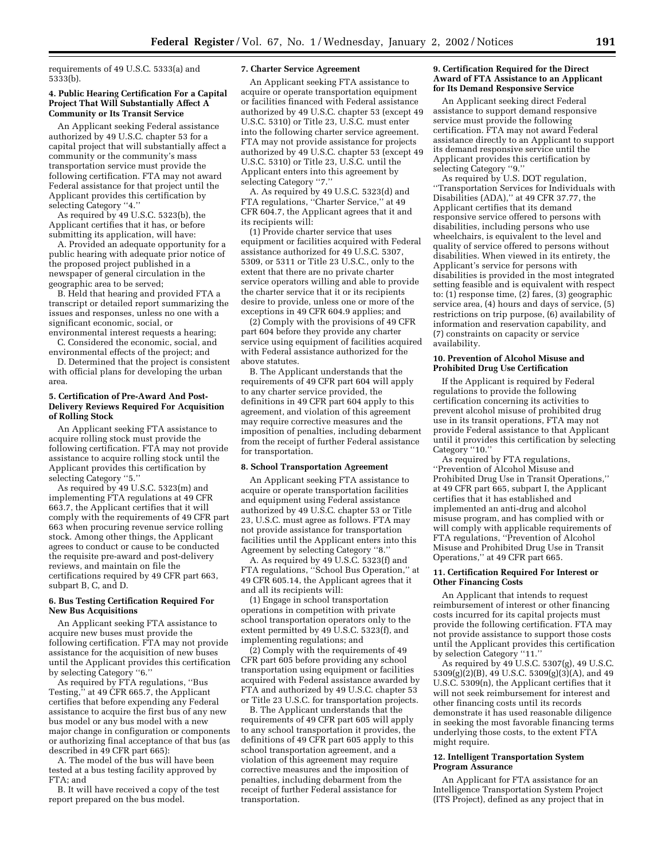requirements of 49 U.S.C. 5333(a) and 5333(b).

#### **4. Public Hearing Certification For a Capital Project That Will Substantially Affect A Community or Its Transit Service**

An Applicant seeking Federal assistance authorized by 49 U.S.C. chapter 53 for a capital project that will substantially affect a community or the community's mass transportation service must provide the following certification. FTA may not award Federal assistance for that project until the Applicant provides this certification by selecting Category "4."

As required by 49 U.S.C. 5323(b), the Applicant certifies that it has, or before submitting its application, will have:

A. Provided an adequate opportunity for a public hearing with adequate prior notice of the proposed project published in a newspaper of general circulation in the geographic area to be served;

B. Held that hearing and provided FTA a transcript or detailed report summarizing the issues and responses, unless no one with a significant economic, social, or environmental interest requests a hearing;

C. Considered the economic, social, and environmental effects of the project; and

D. Determined that the project is consistent with official plans for developing the urban area.

#### **5. Certification of Pre-Award And Post-Delivery Reviews Required For Acquisition of Rolling Stock**

An Applicant seeking FTA assistance to acquire rolling stock must provide the following certification. FTA may not provide assistance to acquire rolling stock until the Applicant provides this certification by selecting Category ''5.''

As required by 49 U.S.C. 5323(m) and implementing FTA regulations at 49 CFR 663.7, the Applicant certifies that it will comply with the requirements of 49 CFR part 663 when procuring revenue service rolling stock. Among other things, the Applicant agrees to conduct or cause to be conducted the requisite pre-award and post-delivery reviews, and maintain on file the certifications required by 49 CFR part 663, subpart B, C, and D.

#### **6. Bus Testing Certification Required For New Bus Acquisitions**

An Applicant seeking FTA assistance to acquire new buses must provide the following certification. FTA may not provide assistance for the acquisition of new buses until the Applicant provides this certification by selecting Category ''6.''

As required by FTA regulations, ''Bus Testing,'' at 49 CFR 665.7, the Applicant certifies that before expending any Federal assistance to acquire the first bus of any new bus model or any bus model with a new major change in configuration or components or authorizing final acceptance of that bus (as described in 49 CFR part 665):

A. The model of the bus will have been tested at a bus testing facility approved by FTA; and

B. It will have received a copy of the test report prepared on the bus model.

#### **7. Charter Service Agreement**

An Applicant seeking FTA assistance to acquire or operate transportation equipment or facilities financed with Federal assistance authorized by 49 U.S.C. chapter 53 (except 49 U.S.C. 5310) or Title 23, U.S.C. must enter into the following charter service agreement. FTA may not provide assistance for projects authorized by 49 U.S.C. chapter 53 (except 49 U.S.C. 5310) or Title 23, U.S.C. until the Applicant enters into this agreement by selecting Category ''7.''

A. As required by 49 U.S.C. 5323(d) and FTA regulations, ''Charter Service,'' at 49 CFR 604.7, the Applicant agrees that it and its recipients will:

(1) Provide charter service that uses equipment or facilities acquired with Federal assistance authorized for 49 U.S.C. 5307, 5309, or 5311 or Title 23 U.S.C., only to the extent that there are no private charter service operators willing and able to provide the charter service that it or its recipients desire to provide, unless one or more of the exceptions in 49 CFR 604.9 applies; and

(2) Comply with the provisions of 49 CFR part 604 before they provide any charter service using equipment of facilities acquired with Federal assistance authorized for the above statutes.

B. The Applicant understands that the requirements of 49 CFR part 604 will apply to any charter service provided, the definitions in 49 CFR part 604 apply to this agreement, and violation of this agreement may require corrective measures and the imposition of penalties, including debarment from the receipt of further Federal assistance for transportation.

#### **8. School Transportation Agreement**

An Applicant seeking FTA assistance to acquire or operate transportation facilities and equipment using Federal assistance authorized by 49 U.S.C. chapter 53 or Title 23, U.S.C. must agree as follows. FTA may not provide assistance for transportation facilities until the Applicant enters into this Agreement by selecting Category ''8.''

A. As required by 49 U.S.C. 5323(f) and FTA regulations, ''School Bus Operation,'' at 49 CFR 605.14, the Applicant agrees that it and all its recipients will:

(1) Engage in school transportation operations in competition with private school transportation operators only to the extent permitted by 49 U.S.C. 5323(f), and implementing regulations; and

(2) Comply with the requirements of 49 CFR part 605 before providing any school transportation using equipment or facilities acquired with Federal assistance awarded by FTA and authorized by 49 U.S.C. chapter 53 or Title 23 U.S.C. for transportation projects.

B. The Applicant understands that the requirements of 49 CFR part 605 will apply to any school transportation it provides, the definitions of 49 CFR part 605 apply to this school transportation agreement, and a violation of this agreement may require corrective measures and the imposition of penalties, including debarment from the receipt of further Federal assistance for transportation.

#### **9. Certification Required for the Direct Award of FTA Assistance to an Applicant for Its Demand Responsive Service**

An Applicant seeking direct Federal assistance to support demand responsive service must provide the following certification. FTA may not award Federal assistance directly to an Applicant to support its demand responsive service until the Applicant provides this certification by selecting Category ''9.''

As required by U.S. DOT regulation, ''Transportation Services for Individuals with Disabilities (ADA),'' at 49 CFR 37.77, the Applicant certifies that its demand responsive service offered to persons with disabilities, including persons who use wheelchairs, is equivalent to the level and quality of service offered to persons without disabilities. When viewed in its entirety, the Applicant's service for persons with disabilities is provided in the most integrated setting feasible and is equivalent with respect to:  $(1)$  response time,  $(2)$  fares,  $(3)$  geographic service area, (4) hours and days of service, (5) restrictions on trip purpose, (6) availability of information and reservation capability, and (7) constraints on capacity or service availability.

#### **10. Prevention of Alcohol Misuse and Prohibited Drug Use Certification**

If the Applicant is required by Federal regulations to provide the following certification concerning its activities to prevent alcohol misuse of prohibited drug use in its transit operations, FTA may not provide Federal assistance to that Applicant until it provides this certification by selecting Category "10."

As required by FTA regulations, ''Prevention of Alcohol Misuse and Prohibited Drug Use in Transit Operations,'' at 49 CFR part 665, subpart I, the Applicant certifies that it has established and implemented an anti-drug and alcohol misuse program, and has complied with or will comply with applicable requirements of FTA regulations, ''Prevention of Alcohol Misuse and Prohibited Drug Use in Transit Operations,'' at 49 CFR part 665.

#### **11. Certification Required For Interest or Other Financing Costs**

An Applicant that intends to request reimbursement of interest or other financing costs incurred for its capital projects must provide the following certification. FTA may not provide assistance to support those costs until the Applicant provides this certification by selection Category "11."

As required by 49 U.S.C. 5307(g), 49 U.S.C.  $5309(g)(2)(B)$ ,  $49$  U.S.C.  $5309(g)(3)(A)$ , and  $49$ U.S.C. 5309(n), the Applicant certifies that it will not seek reimbursement for interest and other financing costs until its records demonstrate it has used reasonable diligence in seeking the most favorable financing terms underlying those costs, to the extent FTA might require.

#### **12. Intelligent Transportation System Program Assurance**

An Applicant for FTA assistance for an Intelligence Transportation System Project (ITS Project), defined as any project that in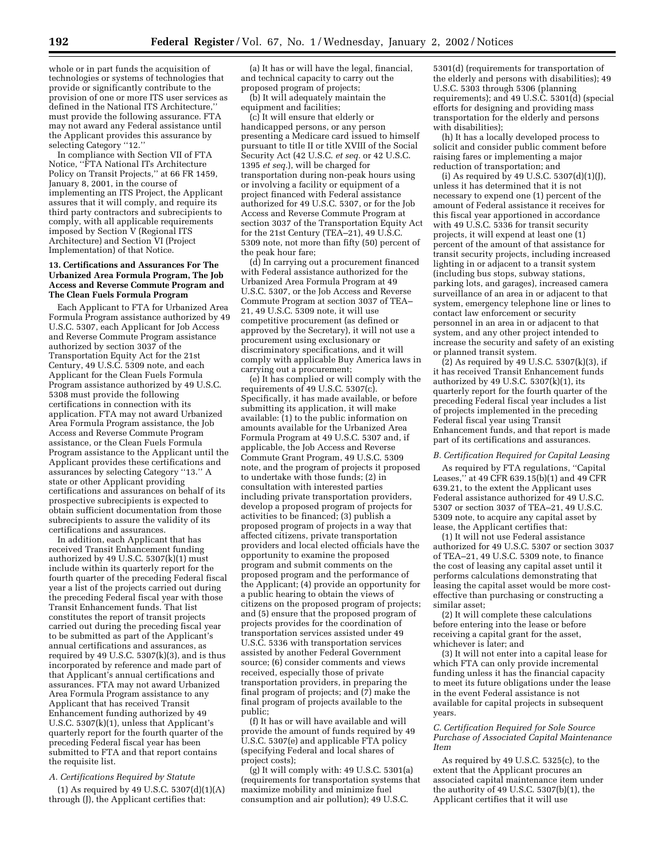whole or in part funds the acquisition of technologies or systems of technologies that provide or significantly contribute to the provision of one or more ITS user services as defined in the National ITS Architecture,'' must provide the following assurance. FTA may not award any Federal assistance until the Applicant provides this assurance by selecting Category "12."

In compliance with Section VII of FTA Notice, ''FTA National ITs Architecture Policy on Transit Projects,'' at 66 FR 1459, January 8, 2001, in the course of implementing an ITS Project, the Applicant assures that it will comply, and require its third party contractors and subrecipients to comply, with all applicable requirements imposed by Section V (Regional ITS Architecture) and Section VI (Project Implementation) of that Notice.

#### **13. Certifications and Assurances For The Urbanized Area Formula Program, The Job Access and Reverse Commute Program and The Clean Fuels Formula Program**

Each Applicant to FTA for Urbanized Area Formula Program assistance authorized by 49 U.S.C. 5307, each Applicant for Job Access and Reverse Commute Program assistance authorized by section 3037 of the Transportation Equity Act for the 21st Century, 49 U.S.C. 5309 note, and each Applicant for the Clean Fuels Formula Program assistance authorized by 49 U.S.C. 5308 must provide the following certifications in connection with its application. FTA may not award Urbanized Area Formula Program assistance, the Job Access and Reverse Commute Program assistance, or the Clean Fuels Formula Program assistance to the Applicant until the Applicant provides these certifications and assurances by selecting Category ''13.'' A state or other Applicant providing certifications and assurances on behalf of its prospective subrecipients is expected to obtain sufficient documentation from those subrecipients to assure the validity of its certifications and assurances.

In addition, each Applicant that has received Transit Enhancement funding authorized by 49 U.S.C. 5307(k)(1) must include within its quarterly report for the fourth quarter of the preceding Federal fiscal year a list of the projects carried out during the preceding Federal fiscal year with those Transit Enhancement funds. That list constitutes the report of transit projects carried out during the preceding fiscal year to be submitted as part of the Applicant's annual certifications and assurances, as required by 49 U.S.C.  $5307(k)(3)$ , and is thus incorporated by reference and made part of that Applicant's annual certifications and assurances. FTA may not award Urbanized Area Formula Program assistance to any Applicant that has received Transit Enhancement funding authorized by 49 U.S.C. 5307(k)(1), unless that Applicant's quarterly report for the fourth quarter of the preceding Federal fiscal year has been submitted to FTA and that report contains the requisite list.

## *A. Certifications Required by Statute*

 $(1)$  As required by 49 U.S.C. 5307 $(d)(1)(A)$ through (J), the Applicant certifies that:

(a) It has or will have the legal, financial, and technical capacity to carry out the proposed program of projects; (b) It will adequately maintain the

equipment and facilities;

(c) It will ensure that elderly or handicapped persons, or any person presenting a Medicare card issued to himself pursuant to title II or title XVIII of the Social Security Act (42 U.S.C. *et seq.* or 42 U.S.C. 1395 *et seq.*), will be charged for transportation during non-peak hours using or involving a facility or equipment of a project financed with Federal assistance authorized for 49 U.S.C. 5307, or for the Job Access and Reverse Commute Program at section 3037 of the Transportation Equity Act for the 21st Century (TEA–21), 49 U.S.C. 5309 note, not more than fifty (50) percent of the peak hour fare;

(d) In carrying out a procurement financed with Federal assistance authorized for the Urbanized Area Formula Program at 49 U.S.C. 5307, or the Job Access and Reverse Commute Program at section 3037 of TEA– 21, 49 U.S.C. 5309 note, it will use competitive procurement (as defined or approved by the Secretary), it will not use a procurement using exclusionary or discriminatory specifications, and it will comply with applicable Buy America laws in carrying out a procurement;

(e) It has complied or will comply with the requirements of 49 U.S.C.  $5307(c)$ . Specifically, it has made available, or before submitting its application, it will make available:  $(1)$  to the public information on amounts available for the Urbanized Area Formula Program at 49 U.S.C. 5307 and, if applicable, the Job Access and Reverse Commute Grant Program, 49 U.S.C. 5309 note, and the program of projects it proposed to undertake with those funds; (2) in consultation with interested parties including private transportation providers, develop a proposed program of projects for activities to be financed; (3) publish a proposed program of projects in a way that affected citizens, private transportation providers and local elected officials have the opportunity to examine the proposed program and submit comments on the proposed program and the performance of the Applicant; (4) provide an opportunity for a public hearing to obtain the views of citizens on the proposed program of projects; and (5) ensure that the proposed program of projects provides for the coordination of transportation services assisted under 49 U.S.C. 5336 with transportation services assisted by another Federal Government source; (6) consider comments and views received, especially those of private transportation providers, in preparing the final program of projects; and (7) make the final program of projects available to the public;

(f) It has or will have available and will provide the amount of funds required by 49 U.S.C. 5307(e) and applicable FTA policy (specifying Federal and local shares of project costs);

(g) It will comply with: 49 U.S.C. 5301(a) (requirements for transportation systems that maximize mobility and minimize fuel consumption and air pollution); 49 U.S.C.

5301(d) (requirements for transportation of the elderly and persons with disabilities); 49 U.S.C. 5303 through 5306 (planning requirements); and 49 U.S.C. 5301(d) (special efforts for designing and providing mass transportation for the elderly and persons with disabilities);

(h) It has a locally developed process to solicit and consider public comment before raising fares or implementing a major reduction of transportation; and

(i) As required by 49 U.S.C.  $5307(d)(1)(J)$ , unless it has determined that it is not necessary to expend one (1) percent of the amount of Federal assistance it receives for this fiscal year apportioned in accordance with 49 U.S.C. 5336 for transit security projects, it will expend at least one (1) percent of the amount of that assistance for transit security projects, including increased lighting in or adjacent to a transit system (including bus stops, subway stations, parking lots, and garages), increased camera surveillance of an area in or adjacent to that system, emergency telephone line or lines to contact law enforcement or security personnel in an area in or adjacent to that system, and any other project intended to increase the security and safety of an existing or planned transit system.

 $(2)$  As required by 49 U.S.C. 5307 $(k)(3)$ , if it has received Transit Enhancement funds authorized by 49 U.S.C.  $5307(k)(1)$ , its quarterly report for the fourth quarter of the preceding Federal fiscal year includes a list of projects implemented in the preceding Federal fiscal year using Transit Enhancement funds, and that report is made part of its certifications and assurances.

#### *B. Certification Required for Capital Leasing*

As required by FTA regulations, ''Capital Leases,'' at 49 CFR 639.15(b)(1) and 49 CFR 639.21, to the extent the Applicant uses Federal assistance authorized for 49 U.S.C. 5307 or section 3037 of TEA–21, 49 U.S.C. 5309 note, to acquire any capital asset by lease, the Applicant certifies that:

(1) It will not use Federal assistance authorized for 49 U.S.C. 5307 or section 3037 of TEA–21, 49 U.S.C. 5309 note, to finance the cost of leasing any capital asset until it performs calculations demonstrating that leasing the capital asset would be more costeffective than purchasing or constructing a similar asset;

(2) It will complete these calculations before entering into the lease or before receiving a capital grant for the asset, whichever is later; and

(3) It will not enter into a capital lease for which FTA can only provide incremental funding unless it has the financial capacity to meet its future obligations under the lease in the event Federal assistance is not available for capital projects in subsequent years.

#### *C. Certification Required for Sole Source Purchase of Associated Capital Maintenance Item*

As required by 49 U.S.C. 5325(c), to the extent that the Applicant procures an associated capital maintenance item under the authority of 49 U.S.C. 5307(b)(1), the Applicant certifies that it will use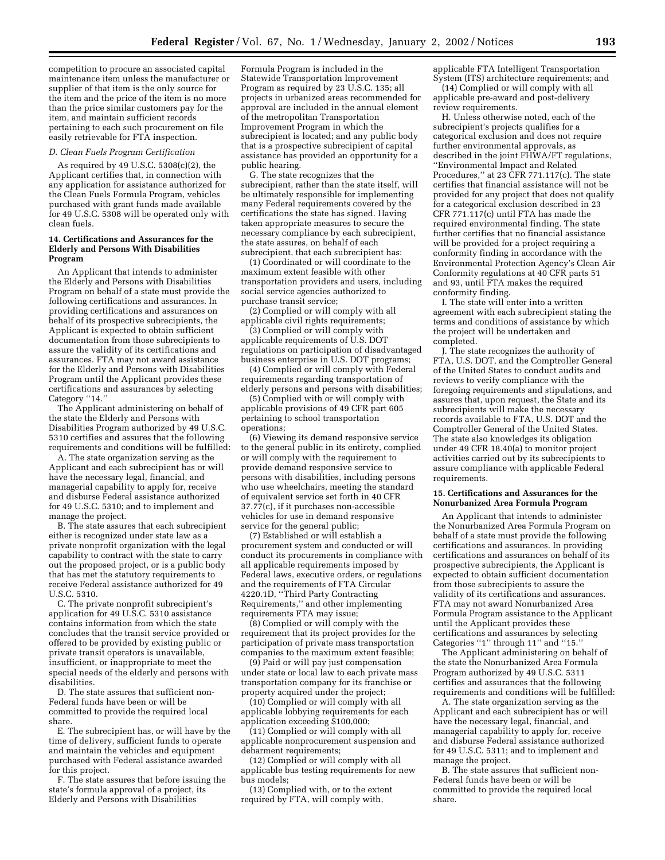competition to procure an associated capital maintenance item unless the manufacturer or supplier of that item is the only source for the item and the price of the item is no more than the price similar customers pay for the item, and maintain sufficient records pertaining to each such procurement on file easily retrievable for FTA inspection.

#### *D. Clean Fuels Program Certification*

As required by 49 U.S.C. 5308(c)(2), the Applicant certifies that, in connection with any application for assistance authorized for the Clean Fuels Formula Program, vehicles purchased with grant funds made available for 49 U.S.C. 5308 will be operated only with clean fuels.

#### **14. Certifications and Assurances for the Elderly and Persons With Disabilities Program**

An Applicant that intends to administer the Elderly and Persons with Disabilities Program on behalf of a state must provide the following certifications and assurances. In providing certifications and assurances on behalf of its prospective subrecipients, the Applicant is expected to obtain sufficient documentation from those subrecipients to assure the validity of its certifications and assurances. FTA may not award assistance for the Elderly and Persons with Disabilities Program until the Applicant provides these certifications and assurances by selecting Category "14."

The Applicant administering on behalf of the state the Elderly and Persons with Disabilities Program authorized by 49 U.S.C. 5310 certifies and assures that the following requirements and conditions will be fulfilled:

A. The state organization serving as the Applicant and each subrecipient has or will have the necessary legal, financial, and managerial capability to apply for, receive and disburse Federal assistance authorized for 49 U.S.C. 5310; and to implement and manage the project.

B. The state assures that each subrecipient either is recognized under state law as a private nonprofit organization with the legal capability to contract with the state to carry out the proposed project, or is a public body that has met the statutory requirements to receive Federal assistance authorized for 49 U.S.C. 5310.

C. The private nonprofit subrecipient's application for 49 U.S.C. 5310 assistance contains information from which the state concludes that the transit service provided or offered to be provided by existing public or private transit operators is unavailable, insufficient, or inappropriate to meet the special needs of the elderly and persons with disabilities.

D. The state assures that sufficient non-Federal funds have been or will be committed to provide the required local share.

E. The subrecipient has, or will have by the time of delivery, sufficient funds to operate and maintain the vehicles and equipment purchased with Federal assistance awarded for this project.

F. The state assures that before issuing the state's formula approval of a project, its Elderly and Persons with Disabilities

Formula Program is included in the Statewide Transportation Improvement Program as required by 23 U.S.C. 135; all projects in urbanized areas recommended for approval are included in the annual element of the metropolitan Transportation Improvement Program in which the subrecipient is located; and any public body that is a prospective subrecipient of capital assistance has provided an opportunity for a public hearing.

G. The state recognizes that the subrecipient, rather than the state itself, will be ultimately responsible for implementing many Federal requirements covered by the certifications the state has signed. Having taken appropriate measures to secure the necessary compliance by each subrecipient, the state assures, on behalf of each subrecipient, that each subrecipient has:

(1) Coordinated or will coordinate to the maximum extent feasible with other transportation providers and users, including social service agencies authorized to purchase transit service;

(2) Complied or will comply with all applicable civil rights requirements;

(3) Complied or will comply with applicable requirements of U.S. DOT regulations on participation of disadvantaged business enterprise in U.S. DOT programs;

(4) Complied or will comply with Federal requirements regarding transportation of elderly persons and persons with disabilities;

(5) Complied with or will comply with applicable provisions of 49 CFR part 605 pertaining to school transportation operations;

(6) Viewing its demand responsive service to the general public in its entirety, complied or will comply with the requirement to provide demand responsive service to persons with disabilities, including persons who use wheelchairs, meeting the standard of equivalent service set forth in 40 CFR 37.77(c), if it purchases non-accessible vehicles for use in demand responsive service for the general public;

(7) Established or will establish a procurement system and conducted or will conduct its procurements in compliance with all applicable requirements imposed by Federal laws, executive orders, or regulations and the requirements of FTA Circular 4220.1D, ''Third Party Contracting Requirements,'' and other implementing requirements FTA may issue;

(8) Complied or will comply with the requirement that its project provides for the participation of private mass transportation companies to the maximum extent feasible;

(9) Paid or will pay just compensation under state or local law to each private mass transportation company for its franchise or property acquired under the project;

(10) Complied or will comply with all applicable lobbying requirements for each application exceeding \$100,000;

(11) Complied or will comply with all applicable nonprocurement suspension and debarment requirements;

(12) Complied or will comply with all applicable bus testing requirements for new bus models;

(13) Complied with, or to the extent required by FTA, will comply with,

applicable FTA Intelligent Transportation System (ITS) architecture requirements; and

(14) Complied or will comply with all applicable pre-award and post-delivery review requirements.

H. Unless otherwise noted, each of the subrecipient's projects qualifies for a categorical exclusion and does not require further environmental approvals, as described in the joint FHWA/FT regulations, ''Environmental Impact and Related Procedures,'' at 23 CFR 771.117(c). The state certifies that financial assistance will not be provided for any project that does not qualify for a categorical exclusion described in 23 CFR 771.117(c) until FTA has made the required environmental finding. The state further certifies that no financial assistance will be provided for a project requiring a conformity finding in accordance with the Environmental Protection Agency's Clean Air Conformity regulations at 40 CFR parts 51 and 93, until FTA makes the required conformity finding.

I. The state will enter into a written agreement with each subrecipient stating the terms and conditions of assistance by which the project will be undertaken and completed.

J. The state recognizes the authority of FTA, U.S. DOT, and the Comptroller General of the United States to conduct audits and reviews to verify compliance with the foregoing requirements and stipulations, and assures that, upon request, the State and its subrecipients will make the necessary records available to FTA, U.S. DOT and the Comptroller General of the United States. The state also knowledges its obligation under 49 CFR 18.40(a) to monitor project activities carried out by its subrecipients to assure compliance with applicable Federal requirements.

#### **15. Certifications and Assurances for the Nonurbanized Area Formula Program**

An Applicant that intends to administer the Nonurbanized Area Formula Program on behalf of a state must provide the following certifications and assurances. In providing certifications and assurances on behalf of its prospective subrecipients, the Applicant is expected to obtain sufficient documentation from those subrecipients to assure the validity of its certifications and assurances. FTA may not award Nonurbanized Area Formula Program assistance to the Applicant until the Applicant provides these certifications and assurances by selecting Categories ''1'' through 11'' and ''15.''

The Applicant administering on behalf of the state the Nonurbanized Area Formula Program authorized by 49 U.S.C. 5311 certifies and assurances that the following requirements and conditions will be fulfilled:

A. The state organization serving as the Applicant and each subrecipient has or will have the necessary legal, financial, and managerial capability to apply for, receive and disburse Federal assistance authorized for 49 U.S.C. 5311; and to implement and manage the project.

B. The state assures that sufficient non-Federal funds have been or will be committed to provide the required local share.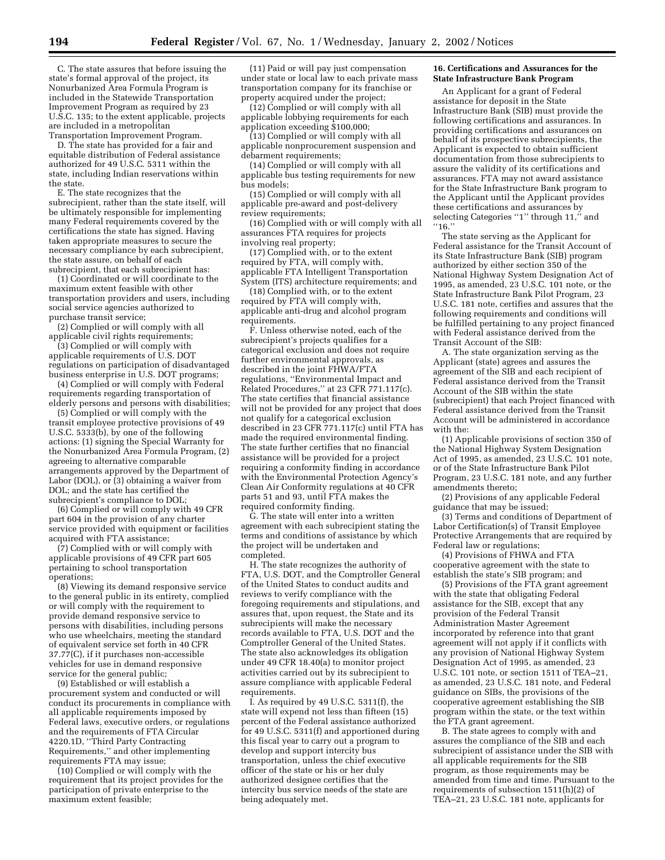C. The state assures that before issuing the state's formal approval of the project, its Nonurbanized Area Formula Program is included in the Statewide Transportation Improvement Program as required by 23 U.S.C. 135; to the extent applicable, projects are included in a metropolitan Transportation Improvement Program.

D. The state has provided for a fair and equitable distribution of Federal assistance authorized for 49 U.S.C. 5311 within the state, including Indian reservations within the state.

E. The state recognizes that the subrecipient, rather than the state itself, will be ultimately responsible for implementing many Federal requirements covered by the certifications the state has signed. Having taken appropriate measures to secure the necessary compliance by each subrecipient, the state assure, on behalf of each subrecipient, that each subrecipient has:

(1) Coordinated or will coordinate to the maximum extent feasible with other transportation providers and users, including social service agencies authorized to purchase transit service;

(2) Complied or will comply with all applicable civil rights requirements;

(3) Complied or will comply with applicable requirements of U.S. DOT regulations on participation of disadvantaged business enterprise in U.S. DOT programs;

(4) Complied or will comply with Federal requirements regarding transportation of elderly persons and persons with disabilities;

(5) Complied or will comply with the transit employee protective provisions of 49 U.S.C. 5333(b), by one of the following actions: (1) signing the Special Warranty for the Nonurbanized Area Formula Program, (2) agreeing to alternative comparable arrangements approved by the Department of Labor (DOL), or (3) obtaining a waiver from DOL; and the state has certified the subrecipient's compliance to DOL;

(6) Complied or will comply with 49 CFR part 604 in the provision of any charter service provided with equipment or facilities acquired with FTA assistance;

(7) Complied with or will comply with applicable provisions of 49 CFR part 605 pertaining to school transportation operations;

(8) Viewing its demand responsive service to the general public in its entirety, complied or will comply with the requirement to provide demand responsive service to persons with disabilities, including persons who use wheelchairs, meeting the standard of equivalent service set forth in 40 CFR 37.77(C), if it purchases non-accessible vehicles for use in demand responsive service for the general public;

(9) Established or will establish a procurement system and conducted or will conduct its procurements in compliance with all applicable requirements imposed by Federal laws, executive orders, or regulations and the requirements of FTA Circular 4220.1D, ''Third Party Contracting Requirements,'' and other implementing requirements FTA may issue;

(10) Complied or will comply with the requirement that its project provides for the participation of private enterprise to the maximum extent feasible;

(11) Paid or will pay just compensation under state or local law to each private mass transportation company for its franchise or property acquired under the project;

(12) Complied or will comply with all applicable lobbying requirements for each application exceeding \$100,000;

(13) Complied or will comply with all applicable nonprocurement suspension and debarment requirements;

(14) Complied or will comply with all applicable bus testing requirements for new bus models;

(15) Complied or will comply with all applicable pre-award and post-delivery review requirements;

(16) Complied with or will comply with all assurances FTA requires for projects involving real property;

(17) Complied with, or to the extent required by FTA, will comply with, applicable FTA Intelligent Transportation System (ITS) architecture requirements; and

(18) Complied with, or to the extent required by FTA will comply with, applicable anti-drug and alcohol program requirements.

F. Unless otherwise noted, each of the subrecipient's projects qualifies for a categorical exclusion and does not require further environmental approvals, as described in the joint FHWA/FTA regulations, ''Environmental Impact and Related Procedures,'' at 23 CFR 771.117(c). The state certifies that financial assistance will not be provided for any project that does not qualify for a categorical exclusion described in 23 CFR 771.117(c) until FTA has made the required environmental finding. The state further certifies that no financial assistance will be provided for a project requiring a conformity finding in accordance with the Environmental Protection Agency's Clean Air Conformity regulations at 40 CFR parts 51 and 93, until FTA makes the required conformity finding.

G. The state will enter into a written agreement with each subrecipient stating the terms and conditions of assistance by which the project will be undertaken and completed.

H. The state recognizes the authority of FTA, U.S. DOT, and the Comptroller General of the United States to conduct audits and reviews to verify compliance with the foregoing requirements and stipulations, and assures that, upon request, the State and its subrecipients will make the necessary records available to FTA, U.S. DOT and the Comptroller General of the United States. The state also acknowledges its obligation under 49 CFR 18.40(a) to monitor project activities carried out by its subrecipient to assure compliance with applicable Federal requirements.

I. As required by 49 U.S.C. 5311(f), the state will expend not less than fifteen (15) percent of the Federal assistance authorized for 49 U.S.C. 5311(f) and apportioned during this fiscal year to carry out a program to develop and support intercity bus transportation, unless the chief executive officer of the state or his or her duly authorized designee certifies that the intercity bus service needs of the state are being adequately met.

#### **16. Certifications and Assurances for the State Infrastructure Bank Program**

An Applicant for a grant of Federal assistance for deposit in the State Infrastructure Bank (SIB) must provide the following certifications and assurances. In providing certifications and assurances on behalf of its prospective subrecipients, the Applicant is expected to obtain sufficient documentation from those subrecipients to assure the validity of its certifications and assurances. FTA may not award assistance for the State Infrastructure Bank program to the Applicant until the Applicant provides these certifications and assurances by selecting Categories "1" through 11," and ''16.''

The state serving as the Applicant for Federal assistance for the Transit Account of its State Infrastructure Bank (SIB) program authorized by either section 350 of the National Highway System Designation Act of 1995, as amended, 23 U.S.C. 101 note, or the State Infrastructure Bank Pilot Program, 23 U.S.C. 181 note, certifies and assures that the following requirements and conditions will be fulfilled pertaining to any project financed with Federal assistance derived from the Transit Account of the SIB:

A. The state organization serving as the Applicant (state) agrees and assures the agreement of the SIB and each recipient of Federal assistance derived from the Transit Account of the SIB within the state (subrecipient) that each Project financed with Federal assistance derived from the Transit Account will be administered in accordance with the:

(1) Applicable provisions of section 350 of the National Highway System Designation Act of 1995, as amended, 23 U.S.C. 101 note, or of the State Infrastructure Bank Pilot Program, 23 U.S.C. 181 note, and any further amendments thereto;

(2) Provisions of any applicable Federal guidance that may be issued;

(3) Terms and conditions of Department of Labor Certification(s) of Transit Employee Protective Arrangements that are required by Federal law or regulations;

(4) Provisions of FHWA and FTA cooperative agreement with the state to establish the state's SIB program; and

(5) Provisions of the FTA grant agreement with the state that obligating Federal assistance for the SIB, except that any provision of the Federal Transit Administration Master Agreement incorporated by reference into that grant agreement will not apply if it conflicts with any provision of National Highway System Designation Act of 1995, as amended, 23 U.S.C. 101 note, or section 1511 of TEA–21, as amended, 23 U.S.C. 181 note, and Federal guidance on SIBs, the provisions of the cooperative agreement establishing the SIB program within the state, or the text within the FTA grant agreement.

B. The state agrees to comply with and assures the compliance of the SIB and each subrecipient of assistance under the SIB with all applicable requirements for the SIB program, as those requirements may be amended from time and time. Pursuant to the requirements of subsection 1511(h)(2) of TEA–21, 23 U.S.C. 181 note, applicants for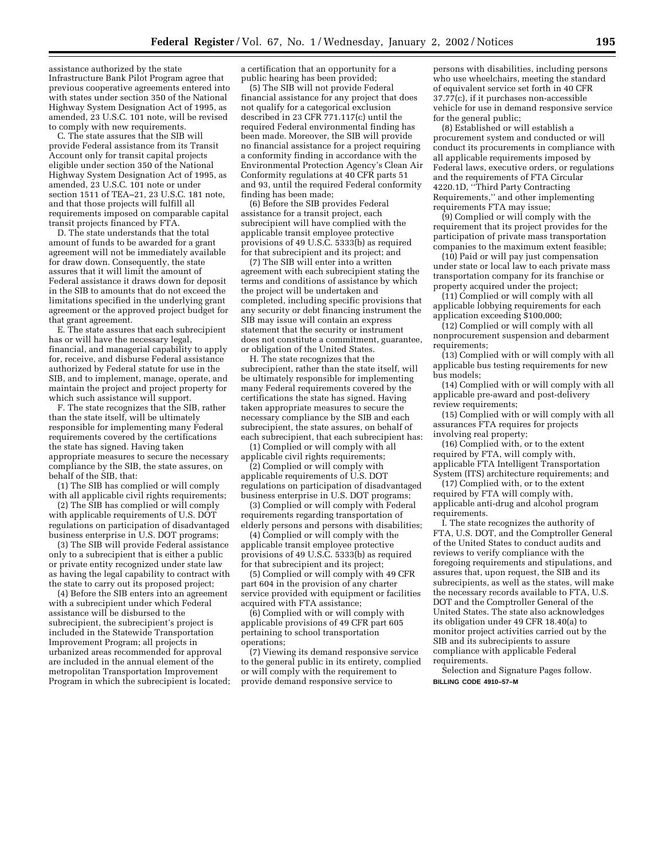assistance authorized by the state Infrastructure Bank Pilot Program agree that previous cooperative agreements entered into with states under section 350 of the National Highway System Designation Act of 1995, as amended, 23 U.S.C. 101 note, will be revised to comply with new requirements.

C. The state assures that the SIB will provide Federal assistance from its Transit Account only for transit capital projects eligible under section 350 of the National Highway System Designation Act of 1995, as amended, 23 U.S.C. 101 note or under section 1511 of TEA–21, 23 U.S.C. 181 note, and that those projects will fulfill all requirements imposed on comparable capital transit projects financed by FTA.

D. The state understands that the total amount of funds to be awarded for a grant agreement will not be immediately available for draw down. Consequently, the state assures that it will limit the amount of Federal assistance it draws down for deposit in the SIB to amounts that do not exceed the limitations specified in the underlying grant agreement or the approved project budget for that grant agreement.

E. The state assures that each subrecipient has or will have the necessary legal, financial, and managerial capability to apply for, receive, and disburse Federal assistance authorized by Federal statute for use in the SIB, and to implement, manage, operate, and maintain the project and project property for which such assistance will support.

F. The state recognizes that the SIB, rather than the state itself, will be ultimately responsible for implementing many Federal requirements covered by the certifications the state has signed. Having taken appropriate measures to secure the necessary compliance by the SIB, the state assures, on behalf of the SIB, that:

(1) The SIB has complied or will comply with all applicable civil rights requirements;

(2) The SIB has complied or will comply with applicable requirements of U.S. DOT regulations on participation of disadvantaged business enterprise in U.S. DOT programs;

(3) The SIB will provide Federal assistance only to a subrecipient that is either a public or private entity recognized under state law as having the legal capability to contract with the state to carry out its proposed project;

(4) Before the SIB enters into an agreement with a subrecipient under which Federal assistance will be disbursed to the subrecipient, the subrecipient's project is included in the Statewide Transportation Improvement Program; all projects in urbanized areas recommended for approval are included in the annual element of the metropolitan Transportation Improvement Program in which the subrecipient is located;

a certification that an opportunity for a public hearing has been provided;

(5) The SIB will not provide Federal financial assistance for any project that does not qualify for a categorical exclusion described in 23 CFR 771.117(c) until the required Federal environmental finding has been made. Moreover, the SIB will provide no financial assistance for a project requiring a conformity finding in accordance with the Environmental Protection Agency's Clean Air Conformity regulations at 40 CFR parts 51 and 93, until the required Federal conformity finding has been made;

(6) Before the SIB provides Federal assistance for a transit project, each subrecipient will have complied with the applicable transit employee protective provisions of 49 U.S.C. 5333(b) as required for that subrecipient and its project; and

(7) The SIB will enter into a written agreement with each subrecipient stating the terms and conditions of assistance by which the project will be undertaken and completed, including specific provisions that any security or debt financing instrument the SIB may issue will contain an express statement that the security or instrument does not constitute a commitment, guarantee, or obligation of the United States.

H. The state recognizes that the subrecipient, rather than the state itself, will be ultimately responsible for implementing many Federal requirements covered by the certifications the state has signed. Having taken appropriate measures to secure the necessary compliance by the SIB and each subrecipient, the state assures, on behalf of each subrecipient, that each subrecipient has:

(1) Complied or will comply with all applicable civil rights requirements;

(2) Complied or will comply with applicable requirements of U.S. DOT regulations on participation of disadvantaged business enterprise in U.S. DOT programs;

(3) Complied or will comply with Federal requirements regarding transportation of elderly persons and persons with disabilities;

(4) Complied or will comply with the applicable transit employee protective provisions of 49 U.S.C. 5333(b) as required for that subrecipient and its project;

(5) Complied or will comply with 49 CFR part 604 in the provision of any charter service provided with equipment or facilities acquired with FTA assistance;

(6) Complied with or will comply with applicable provisions of 49 CFR part 605 pertaining to school transportation operations;

(7) Viewing its demand responsive service to the general public in its entirety, complied or will comply with the requirement to provide demand responsive service to

persons with disabilities, including persons who use wheelchairs, meeting the standard of equivalent service set forth in 40 CFR 37.77(c), if it purchases non-accessible vehicle for use in demand responsive service for the general public;

(8) Established or will establish a procurement system and conducted or will conduct its procurements in compliance with all applicable requirements imposed by Federal laws, executive orders, or regulations and the requirements of FTA Circular 4220.1D, ''Third Party Contracting Requirements,'' and other implementing requirements FTA may issue;

(9) Complied or will comply with the requirement that its project provides for the participation of private mass transportation companies to the maximum extent feasible;

(10) Paid or will pay just compensation under state or local law to each private mass transportation company for its franchise or property acquired under the project;

(11) Complied or will comply with all applicable lobbying requirements for each application exceeding \$100,000;

(12) Complied or will comply with all nonprocurement suspension and debarment requirements;

(13) Complied with or will comply with all applicable bus testing requirements for new bus models;

(14) Complied with or will comply with all applicable pre-award and post-delivery review requirements;

(15) Complied with or will comply with all assurances FTA requires for projects involving real property;

(16) Complied with, or to the extent required by FTA, will comply with, applicable FTA Intelligent Transportation System (ITS) architecture requirements; and

(17) Complied with, or to the extent required by FTA will comply with, applicable anti-drug and alcohol program requirements.

I. The state recognizes the authority of FTA, U.S. DOT, and the Comptroller General of the United States to conduct audits and reviews to verify compliance with the foregoing requirements and stipulations, and assures that, upon request, the SIB and its subrecipients, as well as the states, will make the necessary records available to FTA, U.S. DOT and the Comptroller General of the United States. The state also acknowledges its obligation under 49 CFR 18.40(a) to monitor project activities carried out by the SIB and its subrecipients to assure compliance with applicable Federal requirements.

Selection and Signature Pages follow. **BILLING CODE 4910–57–M**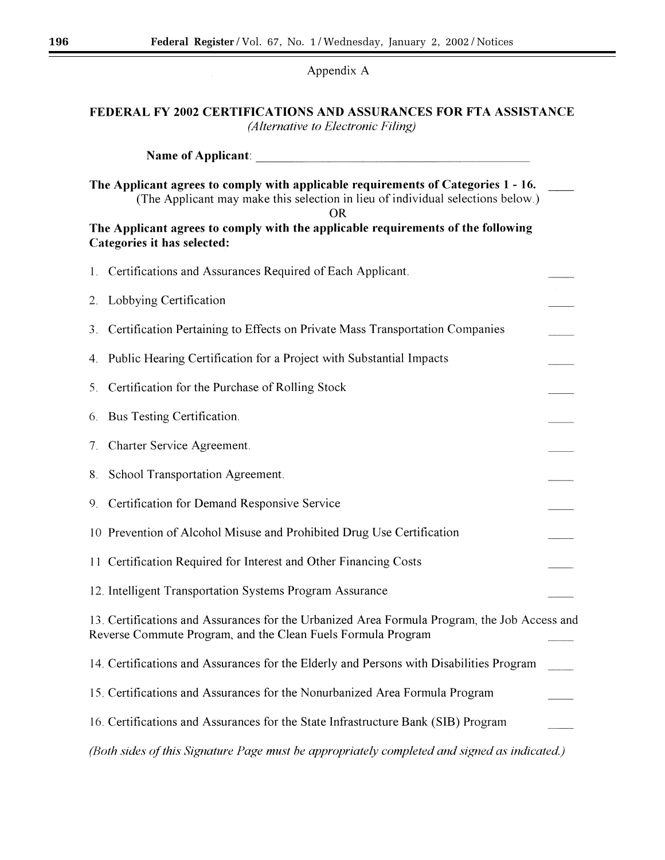## Appendix A

## FEDERAL FY 2002 CERTIFICATIONS AND ASSURANCES FOR FTA ASSISTANCE (Alternative to Electronic Filing)

|                                                                                                                                                                                   | <b>Name of Applicant:</b>                                                                                                                                    |  |  |
|-----------------------------------------------------------------------------------------------------------------------------------------------------------------------------------|--------------------------------------------------------------------------------------------------------------------------------------------------------------|--|--|
| The Applicant agrees to comply with applicable requirements of Categories 1 - 16.<br>(The Applicant may make this selection in lieu of individual selections below.)<br><b>OR</b> |                                                                                                                                                              |  |  |
| The Applicant agrees to comply with the applicable requirements of the following<br>Categories it has selected:                                                                   |                                                                                                                                                              |  |  |
| 1.                                                                                                                                                                                | Certifications and Assurances Required of Each Applicant.                                                                                                    |  |  |
| 2.                                                                                                                                                                                | Lobbying Certification                                                                                                                                       |  |  |
| 3.                                                                                                                                                                                | Certification Pertaining to Effects on Private Mass Transportation Companies                                                                                 |  |  |
| 4.                                                                                                                                                                                | Public Hearing Certification for a Project with Substantial Impacts                                                                                          |  |  |
| 5 <sub>1</sub>                                                                                                                                                                    | Certification for the Purchase of Rolling Stock                                                                                                              |  |  |
| 6.                                                                                                                                                                                | Bus Testing Certification.                                                                                                                                   |  |  |
| 7.                                                                                                                                                                                | Charter Service Agreement.                                                                                                                                   |  |  |
| 8.                                                                                                                                                                                | School Transportation Agreement.                                                                                                                             |  |  |
| 9.                                                                                                                                                                                | Certification for Demand Responsive Service                                                                                                                  |  |  |
|                                                                                                                                                                                   | 10 Prevention of Alcohol Misuse and Prohibited Drug Use Certification                                                                                        |  |  |
|                                                                                                                                                                                   | 11 Certification Required for Interest and Other Financing Costs                                                                                             |  |  |
|                                                                                                                                                                                   | 12. Intelligent Transportation Systems Program Assurance                                                                                                     |  |  |
|                                                                                                                                                                                   | 13. Certifications and Assurances for the Urbanized Area Formula Program, the Job Access and<br>Reverse Commute Program, and the Clean Fuels Formula Program |  |  |
|                                                                                                                                                                                   | 14. Certifications and Assurances for the Elderly and Persons with Disabilities Program                                                                      |  |  |
|                                                                                                                                                                                   | 15. Certifications and Assurances for the Nonurbanized Area Formula Program                                                                                  |  |  |
|                                                                                                                                                                                   | 16. Certifications and Assurances for the State Infrastructure Bank (SIB) Program                                                                            |  |  |
|                                                                                                                                                                                   | (Both sides of this Signature Page must be appropriately completed and signed as indicated.)                                                                 |  |  |